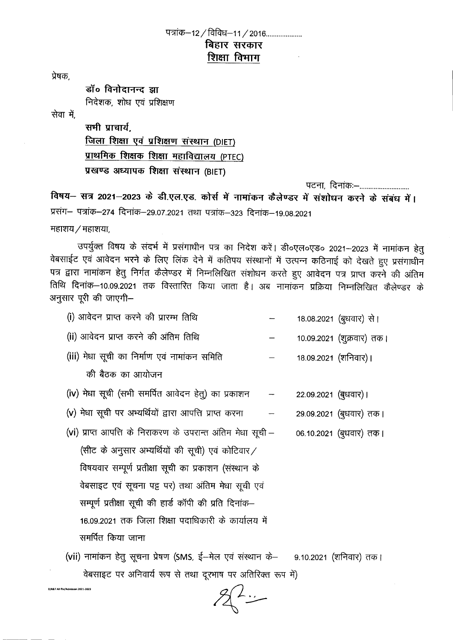## पत्रांक—12 / विविध—11 / 2016 .................... बिहार सरकार शिक्षा विमाग

प्रेषक.

डॉ**० विनोदानन्द** झा निदेशक, शोध एवं प्रशिक्षण

सेवा में.

सभी प्राचार्य. <u>जिला शिक्षा एवं प्रशिक्षण संस्थान (DIET)</u> प्राथमिक शिक्षक शिक्षा महाविद्यालय (PTEC) प्रखण्ड अध्यापक शिक्षा संस्थान (BIET)

पटना, दिनांकः--.............................

विषय– सत्र 2021-2023 के डी.एल.एड. कोर्स में नामांकन कैलेण्डर में संशोधन करने के संबंध में। प्रसंग- पत्रांक-274 दिनांक-29.07.2021 तथा पत्रांक-323 दिनांक-19.08.2021

 $H$ हाशय $/$  महाशया,

D/R&TAllflle/AdmlsI0l'l2021·202l

---- .

उपर्युक्त विषय के संदर्भ में प्रसंगाधीन पत्र का निदेश करें। डी०एल०एड० 2021–2023 में नामांकन हेतु वेबसाईट एवं आवेदन भरने के लिए लिंक देने में कतिपय संस्थानों में उत्पन्न कठिनाई को देखते हुए प्रसंगाधीन पत्र द्वारा नामांकन हेतु निर्गत कैलेण्डर में निम्नलिखित संशोधन करते हुए आवेदन पत्र प्राप्त करने की अंतिम तिथि दिनांक–10.09.2021 तक विस्तारित किया जाता है। अब नामांकन प्रक्रिया निम्नलिखित कैलेण्डर के अनुसार पूरी की जाएगी-

| (i) आवेदन प्राप्त करने की प्रारम्भ तिथि | 18.08.2021 (बुधवार) से। |  |
|-----------------------------------------|-------------------------|--|
|                                         |                         |  |

- (ii) आवेदन प्राप्त करने की अंतिम तिथि 10.09.2021 (शुक्रवार) तक।
- (iii) मेधा सूची का निर्माण एवं नामांकन समिति 18.09.2021 (शनिवार)।
	- की बैठक का आयोजन
- (iv) मेधा सूची (सभी समर्पित आवेदन हेतु) का प्रकाशन  $22.09.2021$  (बुधवार) ।
- $(v)$  मेधा सूची पर अभ्यर्थियों द्वारा आपत्ति प्राप्त करना 29.09.2021 (बुधवार) तक।
- (vi) प्राप्त आपत्ति के निराकरण के उपरान्त अंतिम मेधा सूची -(सीट के अनुसार अभ्यर्थियों की सूची) एवं कोटिवार / विषयवार सम्पूर्ण प्रतीक्षा सूची का प्रकाशन (संस्थान के वेबसाइट एवं सूचना पट्ट पर) तथा अंतिम मेधा सूची एवं सम्पूर्ण प्रतीक्षा सूची की हार्ड कॉपी की प्रति दिनांक-16.09.2021 तक जिला शिक्षा पदाधिकारी के कार्यालय में समर्पित किया जाना 06.10.2021 (बूधवार) तक।
- (vii) नामांकन हेतु सूचना प्रेषण (SMS, ई-मेल एवं संस्थान के- 9.10.2021 (शनिवार) तक। वेबसाइट पर अनिवार्य रूप से तथा दूरभाष पर अतिरिक्त रूप में)

 $2\sqrt{2}$